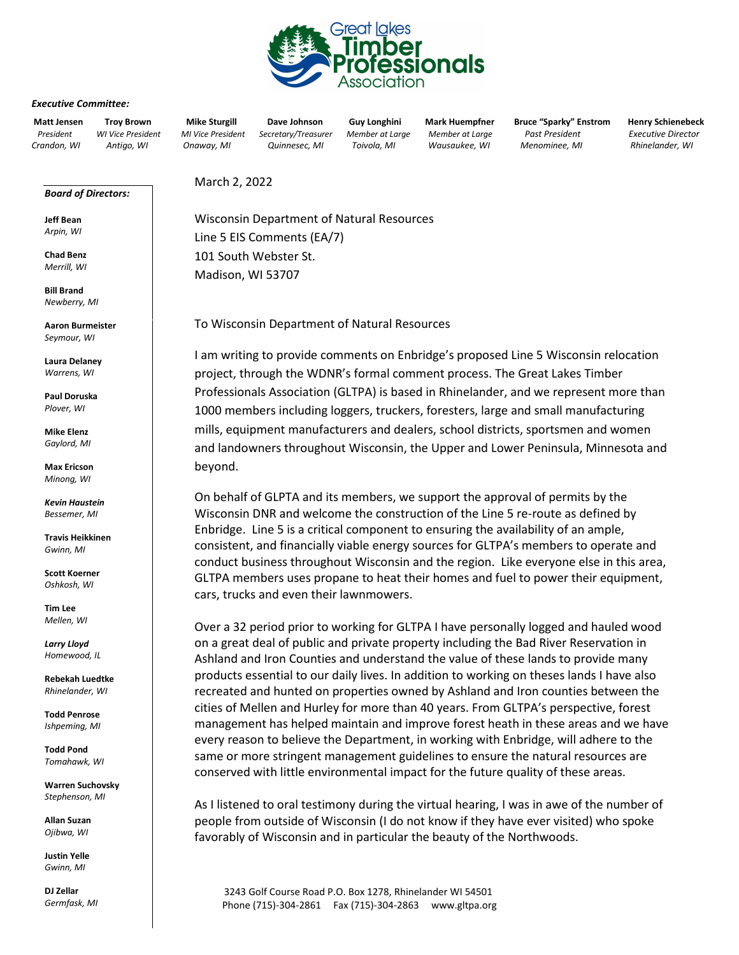

## *Executive Committee:*

*Board of Directors:* 

**Jeff Bean** *Arpin, WI*  **Chad Benz** *Merrill, WI* **Bill Brand** *Newberry, MI*

**Matt Jensen Troy Brown Mike Sturgill Dave Johnson Guy Longhini Mark Huempfner Bruce "Sparky" Enstrom Henry Schienebeck**  *President WI Vice President MI Vice President Secretary/Treasurer Member at Large Member at Large Past President Executive Director Crandon, WI Antigo, WI Onaway, MI Quinnesec, MI Toivola, MI Wausaukee, WI Menominee, MI Rhinelander, WI* 

March 2, 2022

Wisconsin Department of Natural Resources Line 5 EIS Comments (EA/7) 101 South Webster St. Madison, WI 53707

To Wisconsin Department of Natural Resources

I am writing to provide comments on Enbridge's proposed Line 5 Wisconsin relocation project, through the WDNR's formal comment process. The Great Lakes Timber Professionals Association (GLTPA) is based in Rhinelander, and we represent more than 1000 members including loggers, truckers, foresters, large and small manufacturing mills, equipment manufacturers and dealers, school districts, sportsmen and women and landowners throughout Wisconsin, the Upper and Lower Peninsula, Minnesota and beyond.

On behalf of GLPTA and its members, we support the approval of permits by the Wisconsin DNR and welcome the construction of the Line 5 re-route as defined by Enbridge. Line 5 is a critical component to ensuring the availability of an ample, consistent, and financially viable energy sources for GLTPA's members to operate and conduct business throughout Wisconsin and the region. Like everyone else in this area, GLTPA members uses propane to heat their homes and fuel to power their equipment, cars, trucks and even their lawnmowers.

Over a 32 period prior to working for GLTPA I have personally logged and hauled wood on a great deal of public and private property including the Bad River Reservation in Ashland and Iron Counties and understand the value of these lands to provide many products essential to our daily lives. In addition to working on theses lands I have also recreated and hunted on properties owned by Ashland and Iron counties between the cities of Mellen and Hurley for more than 40 years. From GLTPA's perspective, forest management has helped maintain and improve forest heath in these areas and we have every reason to believe the Department, in working with Enbridge, will adhere to the same or more stringent management guidelines to ensure the natural resources are conserved with little environmental impact for the future quality of these areas.

As I listened to oral testimony during the virtual hearing, I was in awe of the number of people from outside of Wisconsin (I do not know if they have ever visited) who spoke favorably of Wisconsin and in particular the beauty of the Northwoods.

3243 Golf Course Road P.O. Box 1278, Rhinelander WI 54501 Phone (715)-304-2861 Fax (715)-304-2863 www.gltpa.org

**Laura Delaney** *Warrens, WI*

**Aaron Burmeister** *Seymour, WI* 

**Paul Doruska** *Plover, WI*

**Mike Elenz** *Gaylord, MI*

**Max Ericson** *Minong, WI*

*Kevin Haustein Bessemer, MI*

**Travis Heikkinen** *Gwinn, MI*

**Scott Koerner** *Oshkosh, WI* 

**Tim Lee** *Mellen, WI*

*Larry Lloyd Homewood, IL*

**Rebekah Luedtke** *Rhinelander, WI* 

**Todd Penrose** *Ishpeming, MI*

**Todd Pond** *Tomahawk, WI*

**Warren Suchovsky** *Stephenson, MI*

**Allan Suzan** *Ojibwa, WI* 

**Justin Yelle** *Gwinn, MI*

**DJ Zellar**  *Germfask, MI*